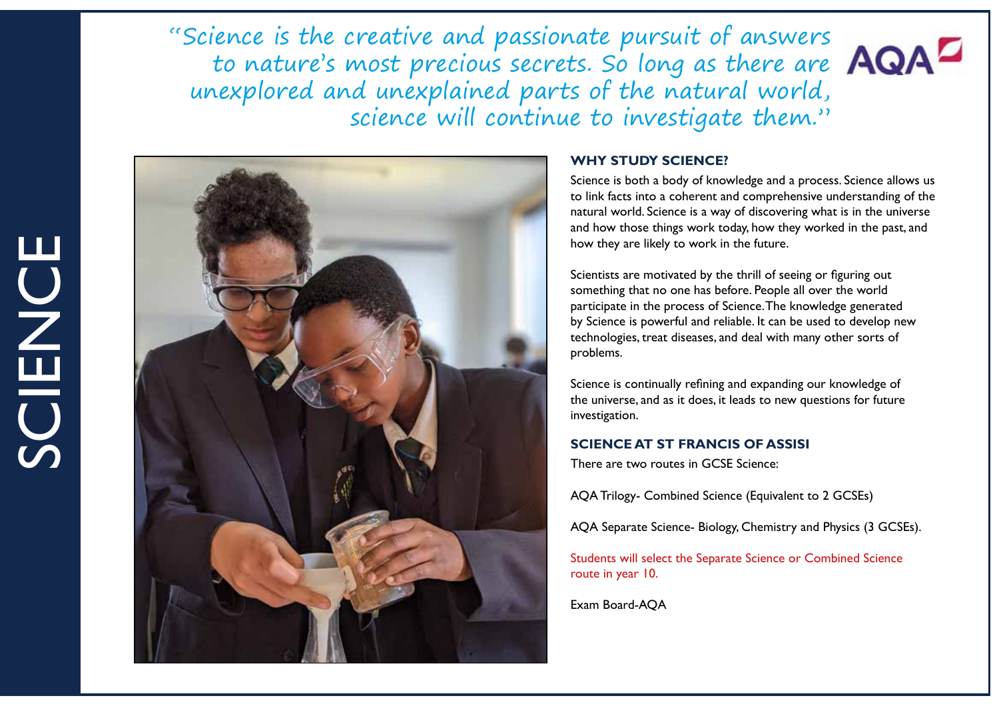"Science is the creative and passionate pursuit of answers to nature's most precious secrets. So long as there are unexplored and unexplained parts of the natural world, science will continue to investigate them."



#### **WHY STUDY SCIENCE?**

Science is both a body of knowledge and a process. Science allows us to link facts into a coherent and comprehensive understanding of the natural world. Science is a way of discovering what is in the universe and how those things work today, how they worked in the past, and how they are likely to work in the future.

Scientists are motivated by the thrill of seeing or figuring out something that no one has before. People all over the world participate in the process of Science. The knowledge generated by Science is powerful and reliable. It can be used to develop new technologies, treat diseases, and deal with many other sorts of problems.

Science is continually refining and expanding our knowledge of the universe, and as it does, it leads to new questions for future investigation.

# **SCIENCE AT ST FRANCIS OF ASSISI**

There are two routes in GCSE Science:

AQA Trilogy- Combined Science (Equivalent to 2 GCSEs)

AQA Separate Science- Biology, Chemistry and Physics (3 GCSEs).

Students will select the Separate Science or Combined Science route in year 10.

Exam Board-AQA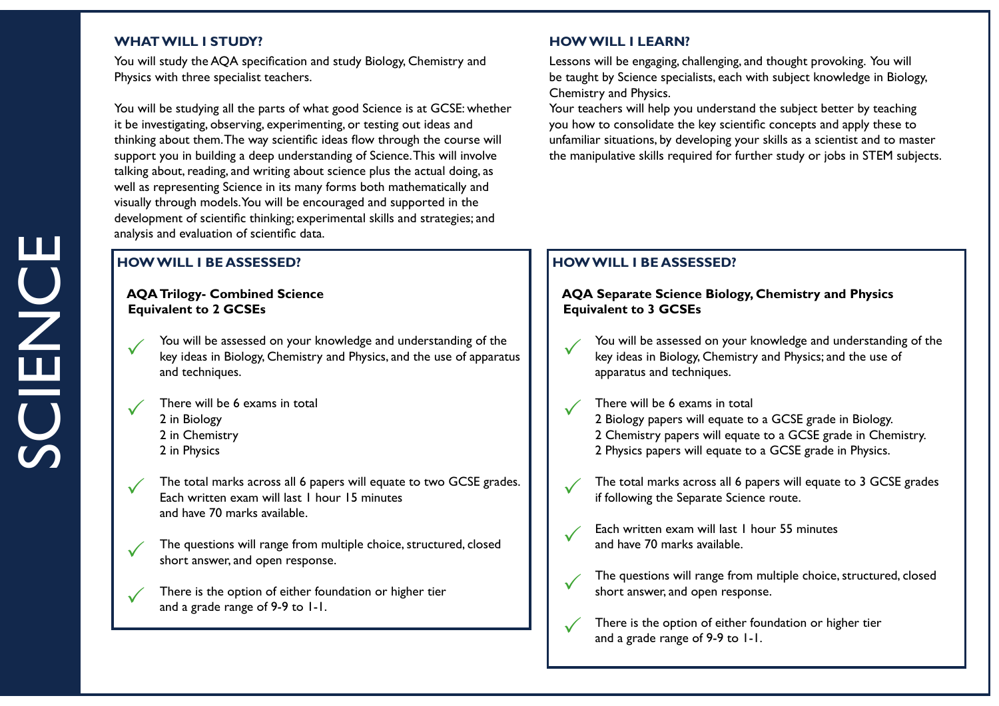## **WHAT WILL I STUDY?** And the study of the study of the study of the study of the study of the study of the study of the study of the study of the study of the study of the study of the study of the study of the study of th

You will study the AQA specification and study Biology, Chemistry and Physics with three specialist teachers.

You will be studying all the parts of what good Science is at GCSE: whether it be investigating, observing, experimenting, or testing out ideas and thinking about them. The way scientific ideas flow through the course will support you in building a deep understanding of Science. This will involve talking about, reading, and writing about science plus the actual doing, as well as representing Science in its many forms both mathematically and visually through models. You will be encouraged and supported in the development of scientific thinking; experimental skills and strategies; and analysis and evaluation of scientific data.

# **HOW WILL I BE ASSESSED?**

## **AQA Trilogy- Combined Science Equivalent to 2 GCSEs**



 $\checkmark$ 

 $\checkmark$ 

 $\checkmark$ 

You will be assessed on your knowledge and understanding of the Fou will be assessed on your knowledge and understanding of the last expansion  $\mathcal{C}$  and the use of apparatus  $\mathcal{C}$ and techniques.

There will be 6 exams in total 2 in Biology 2 in Chemistry 2 in Physics

The total marks across all 6 papers will equate to two GCSE grades. Each written exam will last 1 hour 15 minutes and have 70 marks available.  $\checkmark$ 

The questions will range from multiple choice, structured, closed short answer, and open response.

There is the option of either foundation or higher tier and a grade range of 9-9 to 1-1.

Lessons will be engaging, challenging, and thought provoking. You will be taught by Science specialists, each with subject knowledge in Biology, Chemistry and Physics.

Your teachers will help you understand the subject better by teaching you how to consolidate the key scientific concepts and apply these to unfamiliar situations, by developing your skills as a scientist and to master the manipulative skills required for further study or jobs in STEM subjects.

# **HOW WILL I BE ASSESSED?**

## **AQA Separate Science Biology, Chemistry and Physics Equivalent to 3 GCSEs**



 $\checkmark$ 

 $\checkmark$ 

 $\checkmark$ 

You will be assessed on your knowledge and understanding of the key ideas in Biology, Chemistry and Physics; and the use of apparatus and techniques.

#### There will be 6 exams in total  $\checkmark$

2 Biology papers will equate to a GCSE grade in Biology. 2 Chemistry papers will equate to a GCSE grade in Chemistry. 2 Physics papers will equate to a GCSE grade in Physics.



The total marks across all 6 papers will equate to 3 GCSE grades if following the Separate Science route.

- Each written exam will last 1 hour 55 minutes and have 70 marks available.
- The questions will range from multiple choice, structured, closed short answer, and open response.  $\checkmark$ 
	- There is the option of either foundation or higher tier and a grade range of 9-9 to 1-1.